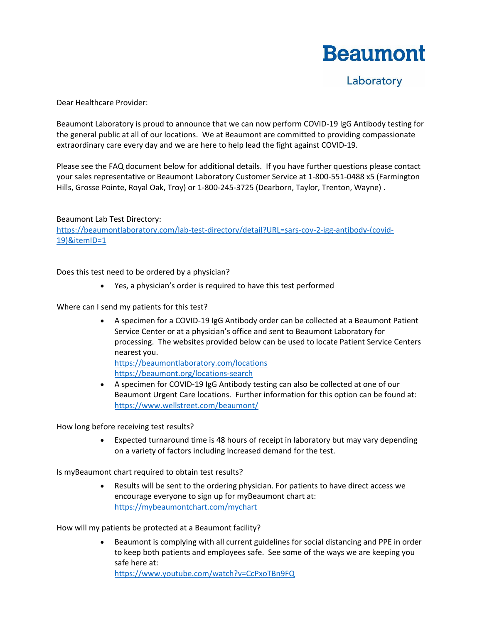## **Beaumont**

Laboratory

Dear Healthcare Provider:

Beaumont Laboratory is proud to announce that we can now perform COVID-19 IgG Antibody testing for the general public at all of our locations. We at Beaumont are committed to providing compassionate extraordinary care every day and we are here to help lead the fight against COVID-19.

Please see the FAQ document below for additional details. If you have further questions please contact your sales representative or Beaumont Laboratory Customer Service at 1-800-551-0488 x5 (Farmington Hills, Grosse Pointe, Royal Oak, Troy) or 1-800-245-3725 (Dearborn, Taylor, Trenton, Wayne) .

Beaumont Lab Test Directory: [https://beaumontlaboratory.com/lab-test-directory/detail?URL=sars-cov-2-igg-antibody-\(covid-](https://beaumontlaboratory.com/lab-test-directory/detail?URL=sars-cov-2-igg-antibody-(covid-19)&itemID=1)[19\)&itemID=1](https://beaumontlaboratory.com/lab-test-directory/detail?URL=sars-cov-2-igg-antibody-(covid-19)&itemID=1)

Does this test need to be ordered by a physician?

• Yes, a physician's order is required to have this test performed

Where can I send my patients for this test?

• A specimen for a COVID-19 IgG Antibody order can be collected at a Beaumont Patient Service Center or at a physician's office and sent to Beaumont Laboratory for processing. The websites provided below can be used to locate Patient Service Centers nearest you. <https://beaumontlaboratory.com/locations>

<https://beaumont.org/locations-search>

• A specimen for COVID-19 IgG Antibody testing can also be collected at one of our Beaumont Urgent Care locations. Further information for this option can be found at: <https://www.wellstreet.com/beaumont/>

How long before receiving test results?

• Expected turnaround time is 48 hours of receipt in laboratory but may vary depending on a variety of factors including increased demand for the test.

Is myBeaumont chart required to obtain test results?

• Results will be sent to the ordering physician. For patients to have direct access we encourage everyone to sign up for myBeaumont chart at: <https://mybeaumontchart.com/mychart>

How will my patients be protected at a Beaumont facility?

• Beaumont is complying with all current guidelines for social distancing and PPE in order to keep both patients and employees safe. See some of the ways we are keeping you safe here at:

<https://www.youtube.com/watch?v=CcPxoTBn9FQ>